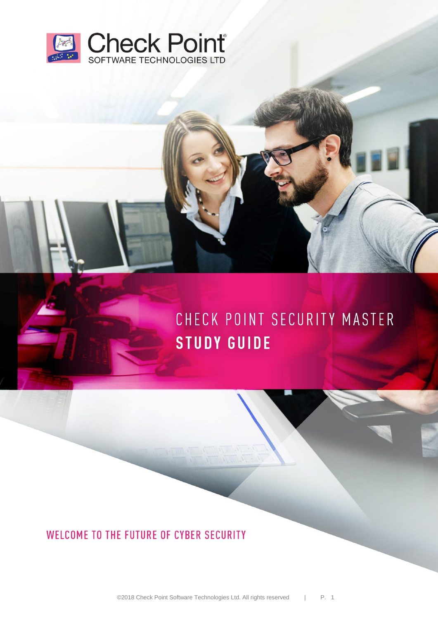

# CHECK POINT SECURITY MASTER **STUDY GUIDE**

WELCOME TO THE FUTURE OF CYBER SECURITY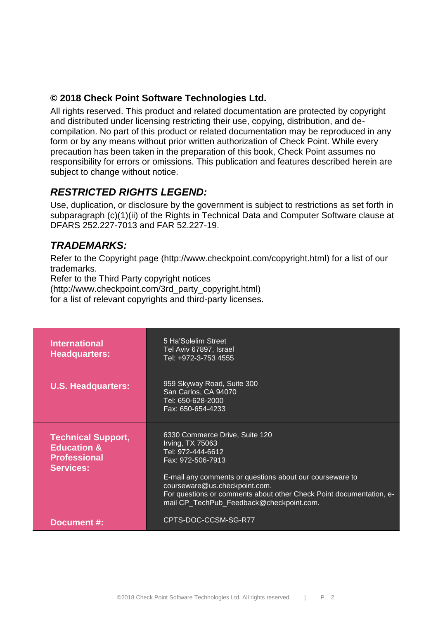### **© 2018 Check Point Software Technologies Ltd.**

All rights reserved. This product and related documentation are protected by copyright and distributed under licensing restricting their use, copying, distribution, and decompilation. No part of this product or related documentation may be reproduced in any form or by any means without prior written authorization of Check Point. While every precaution has been taken in the preparation of this book, Check Point assumes no responsibility for errors or omissions. This publication and features described herein are subject to change without notice.

### *RESTRICTED RIGHTS LEGEND:*

Use, duplication, or disclosure by the government is subject to restrictions as set forth in subparagraph (c)(1)(ii) of the Rights in Technical Data and Computer Software clause at DFARS 252.227-7013 and FAR 52.227-19.

### *TRADEMARKS:*

Refer to the Copyright page (http://www.checkpoint.com/copyright.html) for a list of our trademarks.

Refer to the Third Party copyright notices (http://www.checkpoint.com/3rd\_party\_copyright.html)

for a list of relevant copyrights and third-party licenses.

| <b>International</b><br><b>Headquarters:</b>                                                   | 5 Ha'Solelim Street<br>Tel Aviv 67897, Israel<br>Tel: +972-3-753 4555                                                                                                                                                                                                                                        |
|------------------------------------------------------------------------------------------------|--------------------------------------------------------------------------------------------------------------------------------------------------------------------------------------------------------------------------------------------------------------------------------------------------------------|
| <b>U.S. Headquarters:</b>                                                                      | 959 Skyway Road, Suite 300<br>San Carlos, CA 94070<br>Tel: 650-628-2000<br>Fax: 650-654-4233                                                                                                                                                                                                                 |
| <b>Technical Support,</b><br><b>Education &amp;</b><br><b>Professional</b><br><b>Services:</b> | 6330 Commerce Drive, Suite 120<br>Irving, TX 75063<br>Tel: 972-444-6612<br>Fax: 972-506-7913<br>E-mail any comments or questions about our courseware to<br>courseware@us.checkpoint.com.<br>For questions or comments about other Check Point documentation, e-<br>mail CP_TechPub_Feedback@checkpoint.com. |
| Document #:                                                                                    | CPTS-DOC-CCSM-SG-R77                                                                                                                                                                                                                                                                                         |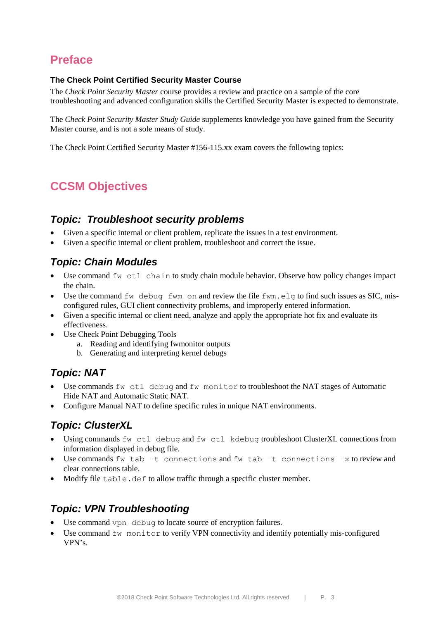# **Preface**

#### **The Check Point Certified Security Master Course**

The *Check Point Security Master* course provides a review and practice on a sample of the core troubleshooting and advanced configuration skills the Certified Security Master is expected to demonstrate.

The *Check Point Security Master Study Guide* supplements knowledge you have gained from the Security Master course, and is not a sole means of study.

The Check Point Certified Security Master #156-115.xx exam covers the following topics:

# **CCSM Objectives**

### *Topic: Troubleshoot security problems*

- Given a specific internal or client problem, replicate the issues in a test environment.
- Given a specific internal or client problem, troubleshoot and correct the issue.

### *Topic: Chain Modules*

- Use command  $f_{\text{W}}$  ctl chain to study chain module behavior. Observe how policy changes impact the chain.
- Use the command  $f_{W}$  debug fwm on and review the file fwm.elg to find such issues as SIC, misconfigured rules, GUI client connectivity problems, and improperly entered information.
- Given a specific internal or client need, analyze and apply the appropriate hot fix and evaluate its effectiveness.
- Use Check Point Debugging Tools
	- a. Reading and identifying fwmonitor outputs
	- b. Generating and interpreting kernel debugs

### *Topic: NAT*

- Use commands  $f_{W}$  ctl debug and  $f_{W}$  monitor to troubleshoot the NAT stages of Automatic Hide NAT and Automatic Static NAT.
- Configure Manual NAT to define specific rules in unique NAT environments.

### *Topic: ClusterXL*

- Using commands fw ctl debug and fw ctl kdebug troubleshoot ClusterXL connections from information displayed in debug file.
- Use commands fw tab –t connections and fw tab –t connections –x to review and clear connections table.
- Modify file table.def to allow traffic through a specific cluster member.

### *Topic: VPN Troubleshooting*

- Use command vpn debug to locate source of encryption failures.
- Use command  $f_{W}$  monitor to verify VPN connectivity and identify potentially mis-configured VPN's.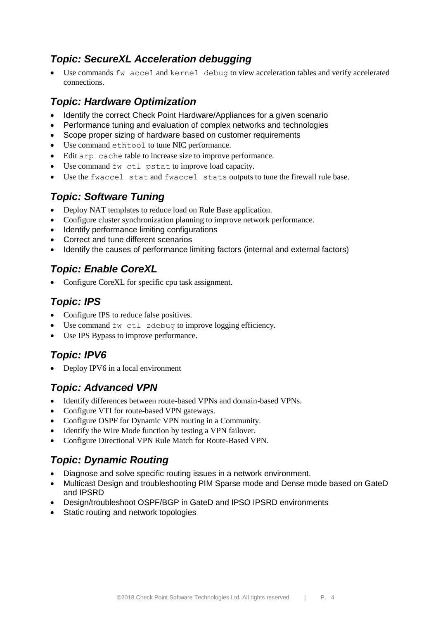### *Topic: SecureXL Acceleration debugging*

 Use commands fw accel and kernel debug to view acceleration tables and verify accelerated connections.

### *Topic: Hardware Optimization*

- Identify the correct Check Point Hardware/Appliances for a given scenario
- Performance tuning and evaluation of complex networks and technologies
- Scope proper sizing of hardware based on customer requirements
- Use command ethtool to tune NIC performance.
- Edit arp cache table to increase size to improve performance.
- Use command  $f_{W}$  ctl pstat to improve load capacity.
- Use the fwaccel stat and fwaccel stats outputs to tune the firewall rule base.

### *Topic: Software Tuning*

- Deploy NAT templates to reduce load on Rule Base application.
- Configure cluster synchronization planning to improve network performance.
- Identify performance limiting configurations
- Correct and tune different scenarios
- Identify the causes of performance limiting factors (internal and external factors)

### *Topic: Enable CoreXL*

Configure CoreXL for specific cpu task assignment.

### *Topic: IPS*

- Configure IPS to reduce false positives.
- Use command  $f_{W}$  ctl zdebug to improve logging efficiency.
- Use IPS Bypass to improve performance.

### *Topic: IPV6*

Deploy IPV6 in a local environment

### *Topic: Advanced VPN*

- Identify differences between route-based VPNs and domain-based VPNs.
- Configure VTI for route-based VPN gateways.
- Configure OSPF for Dynamic VPN routing in a Community.
- Identify the Wire Mode function by testing a VPN failover.
- Configure Directional VPN Rule Match for Route-Based VPN.

### *Topic: Dynamic Routing*

- Diagnose and solve specific routing issues in a network environment.
- Multicast Design and troubleshooting PIM Sparse mode and Dense mode based on GateD and IPSRD
- Design/troubleshoot OSPF/BGP in GateD and IPSO IPSRD environments
- Static routing and network topologies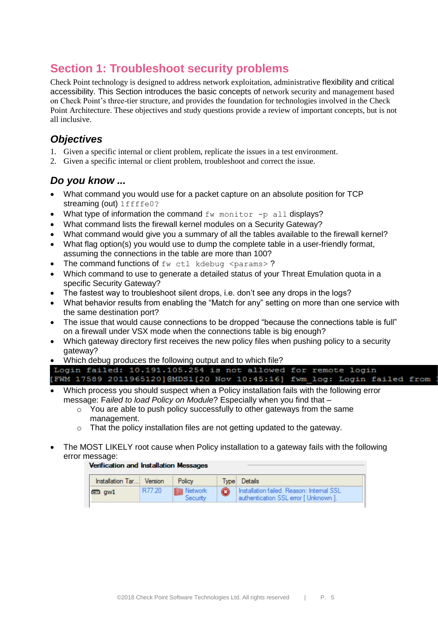## **Section 1: Troubleshoot security problems**

Check Point technology is designed to address network exploitation, administrative flexibility and critical accessibility. This Section introduces the basic concepts of network security and management based on Check Point's three-tier structure, and provides the foundation for technologies involved in the Check Point Architecture. These objectives and study questions provide a review of important concepts, but is not all inclusive.

### *Objectives*

- 1. Given a specific internal or client problem, replicate the issues in a test environment.
- 2. Given a specific internal or client problem, troubleshoot and correct the issue.

#### *Do you know ...*

- What command you would use for a packet capture on an absolute position for TCP streaming (out) 1ffffe0?
- What type of information the command  $f_{W}$  monitor  $-p$  all displays?
- What command lists the firewall kernel modules on a Security Gateway?
- What command would give you a summary of all the tables available to the firewall kernel?
- What flag option(s) you would use to dump the complete table in a user-friendly format. assuming the connections in the table are more than 100?
- The command functions of  $f_{\text{W}}$  ctl kdebug  $\langle$  params>?
- Which command to use to generate a detailed status of your Threat Emulation quota in a specific Security Gateway?
- The fastest way to troubleshoot silent drops, i.e. don't see any drops in the logs?
- What behavior results from enabling the "Match for any" setting on more than one service with the same destination port?
- The issue that would cause connections to be dropped "because the connections table is full" on a firewall under VSX mode when the connections table is big enough?
- Which gateway directory first receives the new policy files when pushing policy to a security gateway?
- Which debug produces the following output and to which file?

|  |  |  |  | Login failed: 10.191.105.254 is not allowed for remote login            |  |  |  |
|--|--|--|--|-------------------------------------------------------------------------|--|--|--|
|  |  |  |  | [FWM 17589 2011965120]@MDS1[20 Nov 10:45:16] fwm log: Login failed from |  |  |  |

- Which process you should suspect when a Policy installation fails with the following error message: F*ailed to load Policy on Module*? Especially when you find that –
	- o You are able to push policy successfully to other gateways from the same management.
	- $\circ$  That the policy installation files are not getting updated to the gateway.
- The MOST LIKELY root cause when Policy installation to a gateway fails with the following error message:

#### **Verification and Installation Messages**

| Installation Tar Version |        | Policy                               | Type Details                                                                       |
|--------------------------|--------|--------------------------------------|------------------------------------------------------------------------------------|
| $\blacksquare$ aw1       | R77.20 | <b>IN Network</b><br><b>Security</b> | Installation failed. Reason: Internal SSL<br>authentication SSL error [ Unknown ]. |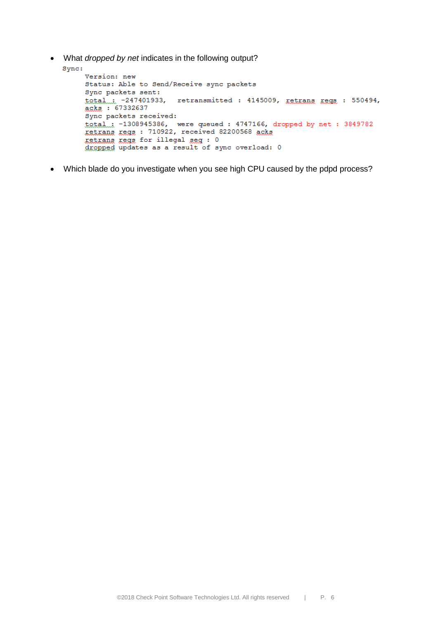What *dropped by net* indicates in the following output?

```
Sync:
      Version: new
      Status: Able to Send/Receive sync packets
      Sync packets sent:
      total... -247401933, retransmitted : 4145009, retrans regs : 550494,
      acks: 67332637
      Sync packets received:
      \text{total}_{\text{int}} -1308945386, were queued: 4747166, dropped by net: 3849782<br>xetxans xegs: 710922, received 82200568 acks
      retrans regs for illegal seg : 0
      dropped updates as a result of sync overload: 0
```
Which blade do you investigate when you see high CPU caused by the pdpd process?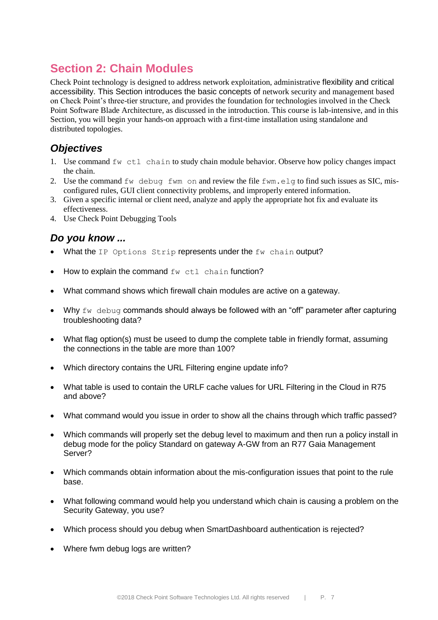# **Section 2: Chain Modules**

Check Point technology is designed to address network exploitation, administrative flexibility and critical accessibility. This Section introduces the basic concepts of network security and management based on Check Point's three-tier structure, and provides the foundation for technologies involved in the Check Point Software Blade Architecture, as discussed in the introduction. This course is lab-intensive, and in this Section, you will begin your hands-on approach with a first-time installation using standalone and distributed topologies.

### *Objectives*

- 1. Use command fw ctl chain to study chain module behavior. Observe how policy changes impact the chain.
- 2. Use the command fw debug fwm on and review the file fwm.elg to find such issues as SIC, misconfigured rules, GUI client connectivity problems, and improperly entered information.
- 3. Given a specific internal or client need, analyze and apply the appropriate hot fix and evaluate its effectiveness.
- 4. Use Check Point Debugging Tools

- What the IP Options Strip represents under the fw chain output?
- How to explain the command fw ctl chain function?
- What command shows which firewall chain modules are active on a gateway.
- Why  $f_{W}$  debug commands should always be followed with an "off" parameter after capturing troubleshooting data?
- What flag option(s) must be useed to dump the complete table in friendly format, assuming the connections in the table are more than 100?
- Which directory contains the URL Filtering engine update info?
- What table is used to contain the URLF cache values for URL Filtering in the Cloud in R75 and above?
- What command would you issue in order to show all the chains through which traffic passed?
- Which commands will properly set the debug level to maximum and then run a policy install in debug mode for the policy Standard on gateway A-GW from an R77 Gaia Management Server?
- Which commands obtain information about the mis-configuration issues that point to the rule base.
- What following command would help you understand which chain is causing a problem on the Security Gateway, you use?
- Which process should you debug when SmartDashboard authentication is rejected?
- Where fwm debug logs are written?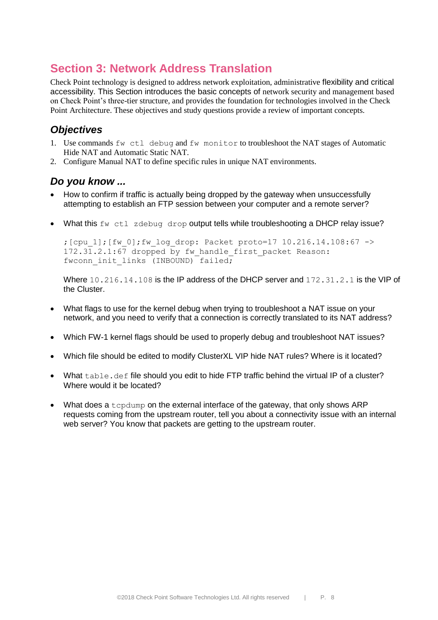## **Section 3: Network Address Translation**

Check Point technology is designed to address network exploitation, administrative flexibility and critical accessibility. This Section introduces the basic concepts of network security and management based on Check Point's three-tier structure, and provides the foundation for technologies involved in the Check Point Architecture. These objectives and study questions provide a review of important concepts.

### *Objectives*

- 1. Use commands fw ctl debug and fw monitor to troubleshoot the NAT stages of Automatic Hide NAT and Automatic Static NAT.
- 2. Configure Manual NAT to define specific rules in unique NAT environments.

#### *Do you know ...*

- How to confirm if traffic is actually being dropped by the gateway when unsuccessfully attempting to establish an FTP session between your computer and a remote server?
- What this fw ctl zdebug drop output tells while troubleshooting a DHCP relay issue?

;  $[cpu 1]$ ; $[fw 0]$ ; $fw$   $loop:$   $Packet$   $proto=17$   $10.216.14.108:67$   $\rightarrow$  $172.31.2.1:67$  dropped by fw handle first packet Reason: fwconn init links (INBOUND) failed;

Where 10, 216, 14, 108 is the IP address of the DHCP server and 172, 31, 2, 1 is the VIP of the Cluster.

- What flags to use for the kernel debug when trying to troubleshoot a NAT issue on your network, and you need to verify that a connection is correctly translated to its NAT address?
- Which FW-1 kernel flags should be used to properly debug and troubleshoot NAT issues?
- Which file should be edited to modify ClusterXL VIP hide NAT rules? Where is it located?
- What table.def file should you edit to hide FTP traffic behind the virtual IP of a cluster? Where would it be located?
- What does a tcpdump on the external interface of the gateway, that only shows ARP requests coming from the upstream router, tell you about a connectivity issue with an internal web server? You know that packets are getting to the upstream router.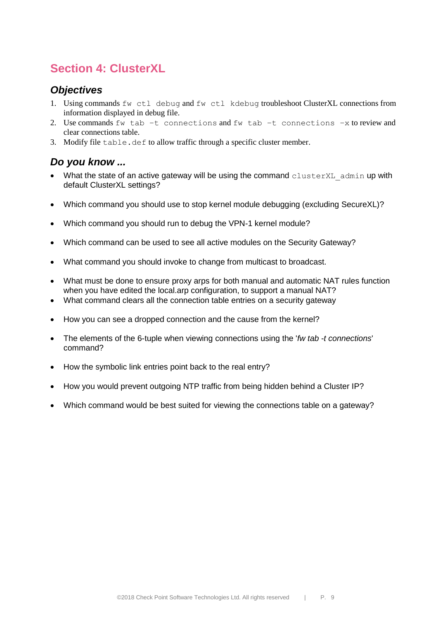# **Section 4: ClusterXL**

#### *Objectives*

- 1. Using commands fw ctl debug and fw ctl kdebug troubleshoot ClusterXL connections from information displayed in debug file.
- 2. Use commands fw tab –t connections and fw tab –t connections –x to review and clear connections table.
- 3. Modify file table.def to allow traffic through a specific cluster member.

- What the state of an active gateway will be using the command  $\texttt{clusterXL}$  admin up with default ClusterXL settings?
- Which command you should use to stop kernel module debugging (excluding SecureXL)?
- Which command you should run to debug the VPN-1 kernel module?
- Which command can be used to see all active modules on the Security Gateway?
- What command you should invoke to change from multicast to broadcast.
- What must be done to ensure proxy arps for both manual and automatic NAT rules function when you have edited the local.arp configuration, to support a manual NAT?
- What command clears all the connection table entries on a security gateway
- How you can see a dropped connection and the cause from the kernel?
- The elements of the 6-tuple when viewing connections using the '*fw tab -t connections*' command?
- How the symbolic link entries point back to the real entry?
- How you would prevent outgoing NTP traffic from being hidden behind a Cluster IP?
- Which command would be best suited for viewing the connections table on a gateway?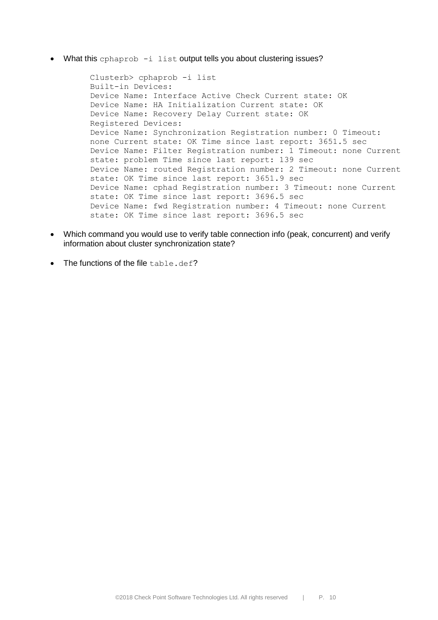• What this cphaprob -i list output tells you about clustering issues?

Clusterb> cphaprob -i list Built-in Devices: Device Name: Interface Active Check Current state: OK Device Name: HA Initialization Current state: OK Device Name: Recovery Delay Current state: OK Registered Devices: Device Name: Synchronization Registration number: 0 Timeout: none Current state: OK Time since last report: 3651.5 sec Device Name: Filter Registration number: 1 Timeout: none Current state: problem Time since last report: 139 sec Device Name: routed Registration number: 2 Timeout: none Current state: OK Time since last report: 3651.9 sec Device Name: cphad Registration number: 3 Timeout: none Current state: OK Time since last report: 3696.5 sec Device Name: fwd Registration number: 4 Timeout: none Current state: OK Time since last report: 3696.5 sec

- Which command you would use to verify table connection info (peak, concurrent) and verify information about cluster synchronization state?
- The functions of the file table.def?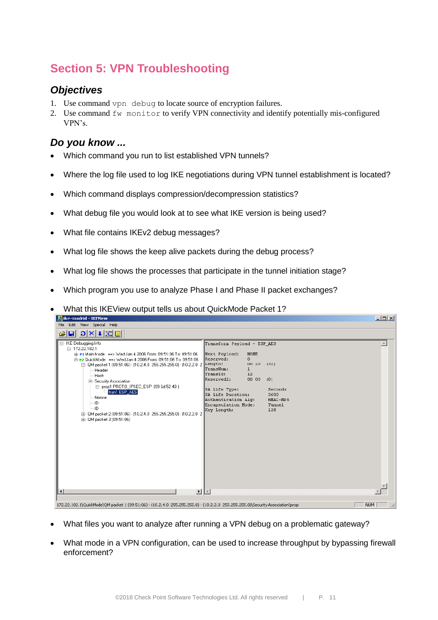# **Section 5: VPN Troubleshooting**

### *Objectives*

- 1. Use command vpn debug to locate source of encryption failures.
- 2. Use command fw monitor to verify VPN connectivity and identify potentially mis-configured VPN's.

### *Do you know ...*

- Which command you run to list established VPN tunnels?
- Where the log file used to log IKE negotiations during VPN tunnel establishment is located?
- Which command displays compression/decompression statistics?
- What debug file you would look at to see what IKE version is being used?
- What file contains IKEv2 debug messages?
- What log file shows the keep alive packets during the debug process?
- What log file shows the processes that participate in the tunnel initiation stage?
- Which program you use to analyze Phase I and Phase II packet exchanges?
- What this IKEView output tells us about QuickMode Packet 1?

| <b>Billing moning</b> the sign                                                                                                                                                                                                                                                                                                                                                                                                                                                                                                     | لعرصت                                                                                                                                                                                                                                                                                                                                       |
|------------------------------------------------------------------------------------------------------------------------------------------------------------------------------------------------------------------------------------------------------------------------------------------------------------------------------------------------------------------------------------------------------------------------------------------------------------------------------------------------------------------------------------|---------------------------------------------------------------------------------------------------------------------------------------------------------------------------------------------------------------------------------------------------------------------------------------------------------------------------------------------|
| File Edit View Special Help                                                                                                                                                                                                                                                                                                                                                                                                                                                                                                        |                                                                                                                                                                                                                                                                                                                                             |
| $\log  x  +  \mathbf{X} $<br>o<br>ಡ                                                                                                                                                                                                                                                                                                                                                                                                                                                                                                |                                                                                                                                                                                                                                                                                                                                             |
| E-IKE Debugging Irfo<br>白-172.22.102.1<br>Fi-P1 Main Mode ==> Wed Jan 4 2006 From: 09:51:06 To: 09:51:06<br>El-P2 QuickMode ==> Wed Jan 4 2006 From: 09:51:06 To: 09:51:06<br>白 QM packet 1 (09:51:06) - (10.2.4.0 255.255.255.0) - (10.2.2.0 2 Length:<br>Header<br>Hash<br>白- Security Association<br>日 prop1 PROTO_IPSEC_ESP (99 6d 52 49)<br>tran1 ESP_AES<br>-- Nonce<br>$\ln 10$<br>i ID<br>面 QM packet 2 (09:51:06) - (10.2.4.0 255.255.255.0) - (10.2.2.0 2<br>面- QM packet 3 (09:51:06)<br>ॻऻ॒ॻ<br>$\left  \cdot \right $ | Transform Payload - ESP AES<br>Next Payload:<br><b>NONE</b><br>Reserved:<br>$\overline{0}$<br>UU 20<br>(32)<br>TransNum:<br>$\mathbf{1}$<br>TransId:<br>12<br>Reserved2:<br>00 00<br>(0)<br>SA Life Type:<br>Seconds<br>SA Life Duration:<br>3600<br>Authentication Alq:<br>HMAC-MD5<br>Encapsulation Mode:<br>Tunnel<br>Key Length:<br>128 |
|                                                                                                                                                                                                                                                                                                                                                                                                                                                                                                                                    |                                                                                                                                                                                                                                                                                                                                             |
| 172.22.102.1\QuickMode\QM packet 1 (09:51:06) - (10.2.4.0 255.255.255.0) - (10.2.2.0 255.255.255.0)\Security Association\prop                                                                                                                                                                                                                                                                                                                                                                                                      | NUM                                                                                                                                                                                                                                                                                                                                         |

*<u>Collective</u>* 

- What files you want to analyze after running a VPN debug on a problematic gateway?
- What mode in a VPN configuration, can be used to increase throughput by bypassing firewall enforcement?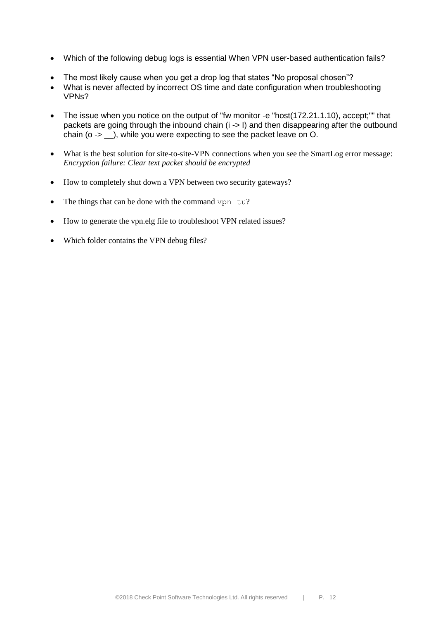- Which of the following debug logs is essential When VPN user-based authentication fails?
- The most likely cause when you get a drop log that states "No proposal chosen"?
- What is never affected by incorrect OS time and date configuration when troubleshooting VPNs?
- The issue when you notice on the output of "fw monitor -e "host(172.21.1.10), accept;"" that packets are going through the inbound chain (i -> I) and then disappearing after the outbound chain (o -> \_\_), while you were expecting to see the packet leave on O.
- What is the best solution for site-to-site-VPN connections when you see the SmartLog error message: *Encryption failure: Clear text packet should be encrypted*
- How to completely shut down a VPN between two security gateways?
- The things that can be done with the command vpn  $tu$ ?
- How to generate the vpn.elg file to troubleshoot VPN related issues?
- Which folder contains the VPN debug files?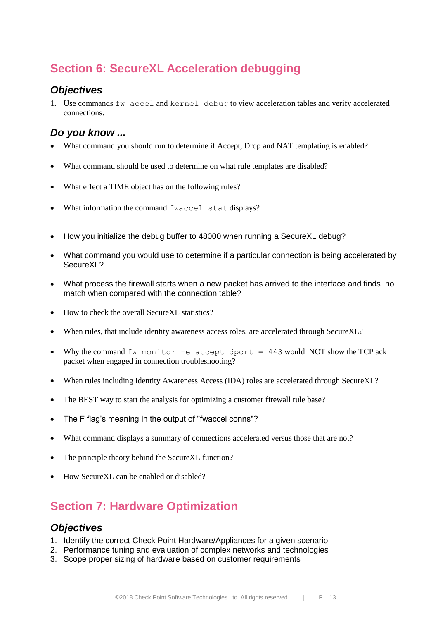# **Section 6: SecureXL Acceleration debugging**

#### *Objectives*

1. Use commands  $f_{W}$  accel and kernel debug to view acceleration tables and verify accelerated connections.

### *Do you know ...*

- What command you should run to determine if Accept, Drop and NAT templating is enabled?
- What command should be used to determine on what rule templates are disabled?
- What effect a TIME object has on the following rules?
- What information the command fwaccel stat displays?
- How you initialize the debug buffer to 48000 when running a SecureXL debug?
- What command you would use to determine if a particular connection is being accelerated by SecureXL?
- What process the firewall starts when a new packet has arrived to the interface and finds no match when compared with the connection table?
- How to check the overall SecureXL statistics?
- When rules, that include identity awareness access roles, are accelerated through SecureXL?
- Why the command  $f_{W}$  monitor –e accept dport = 443 would NOT show the TCP ack packet when engaged in connection troubleshooting?
- When rules including Identity Awareness Access (IDA) roles are accelerated through SecureXL?
- The BEST way to start the analysis for optimizing a customer firewall rule base?
- The F flag's meaning in the output of "fwaccel conns"?
- What command displays a summary of connections accelerated versus those that are not?
- The principle theory behind the SecureXL function?
- How SecureXL can be enabled or disabled?

# **Section 7: Hardware Optimization**

#### *Objectives*

- 1. Identify the correct Check Point Hardware/Appliances for a given scenario
- 2. Performance tuning and evaluation of complex networks and technologies
- 3. Scope proper sizing of hardware based on customer requirements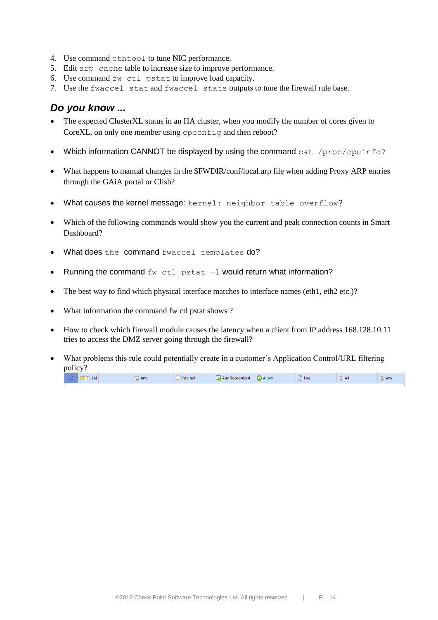- 4. Use command ethtool to tune NIC performance.
- 5. Edit arp cache table to increase size to improve performance.
- 6. Use command fw ctl pstat to improve load capacity.
- 7. Use the fwaccel stat and fwaccel stats outputs to tune the firewall rule base.

- The expected ClusterXL status in an HA cluster, when you modify the number of cores given to CoreXL, on only one member using cpconfig and then reboot?
- Which information CANNOT be displayed by using the command cat /proc/cpuinfo?
- What happens to manual changes in the \$FWDIR/conf/local.arp file when adding Proxy ARP entries through the GAiA portal or Clish?
- What causes the kernel message: kernel: neighbor table overflow?
- Which of the following commands would show you the current and peak connection counts in Smart Dashboard?
- What does the command fwaccel templates do?
- Running the command  $f_{W}$  ctl pstat  $-I$  would return what information?
- The best way to find which physical interface matches to interface names (eth1, eth2 etc.)?
- What information the command fw ctl pstat shows ?
- How to check which firewall module causes the latency when a client from IP address 168.128.10.11 tries to access the DMZ server going through the firewall?
- What problems this rule could potentially create in a customer's Application Control/URL filtering policy?

| 14 | 1 M |  | Any<br>_ | <b>Internet</b> | Any Recognized | <b>B</b> Allow | Log | æт<br>H <sub>1</sub> | Anv |
|----|-----|--|----------|-----------------|----------------|----------------|-----|----------------------|-----|
|----|-----|--|----------|-----------------|----------------|----------------|-----|----------------------|-----|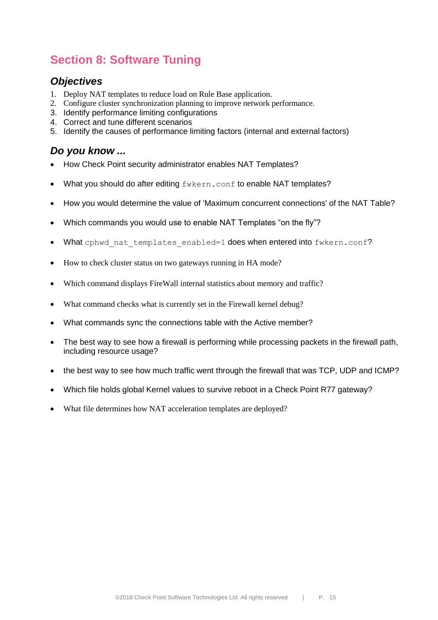# **Section 8: Software Tuning**

### *Objectives*

- 1. Deploy NAT templates to reduce load on Rule Base application.
- 2. Configure cluster synchronization planning to improve network performance.
- 3. Identify performance limiting configurations
- 4. Correct and tune different scenarios
- 5. Identify the causes of performance limiting factors (internal and external factors)

- How Check Point security administrator enables NAT Templates?
- What you should do after editing fwkern.conf to enable NAT templates?
- How you would determine the value of 'Maximum concurrent connections' of the NAT Table?
- Which commands you would use to enable NAT Templates "on the fly"?
- What cphwd nat templates enabled=1 does when entered into fwkern.conf?
- How to check cluster status on two gateways running in HA mode?
- Which command displays FireWall internal statistics about memory and traffic?
- What command checks what is currently set in the Firewall kernel debug?
- What commands sync the connections table with the Active member?
- The best way to see how a firewall is performing while processing packets in the firewall path, including resource usage?
- the best way to see how much traffic went through the firewall that was TCP, UDP and ICMP?
- Which file holds global Kernel values to survive reboot in a Check Point R77 gateway?
- What file determines how NAT acceleration templates are deployed?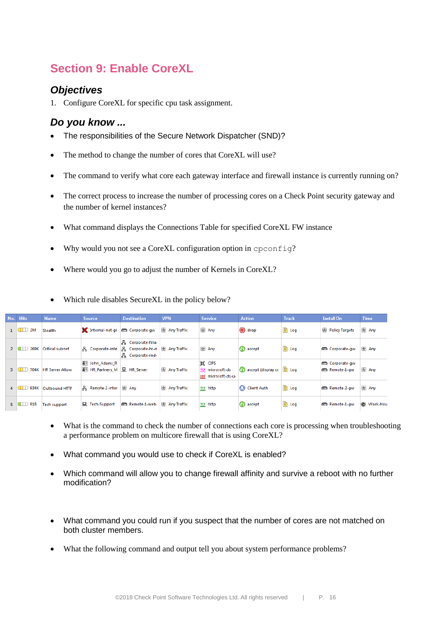# **Section 9: Enable CoreXL**

#### *Objectives*

1. Configure CoreXL for specific cpu task assignment.

#### *Do you know ...*

- The responsibilities of the Secure Network Dispatcher (SND)?
- The method to change the number of cores that CoreXL will use?
- The command to verify what core each gateway interface and firewall instance is currently running on?
- The correct process to increase the number of processing cores on a Check Point security gateway and the number of kernel instances?
- What command displays the Connections Table for specified CoreXL FW instance
- Why would you not see a CoreXL configuration option in cpconfig?
- Where would you go to adjust the number of Kernels in CoreXL?

|                | No. Hits           | <b>Name</b>                    | <b>Source</b>                                         | <b>Destination</b>                                                                          | <b>VPN</b>    | <b>Service</b>                                            | <b>Action</b>      | <b>Track</b>   | <b>Install On</b>                     | Time     |
|----------------|--------------------|--------------------------------|-------------------------------------------------------|---------------------------------------------------------------------------------------------|---------------|-----------------------------------------------------------|--------------------|----------------|---------------------------------------|----------|
|                | $1$ $\Box$ 2M      | Stealth                        | Internal-net-gr corporate-gw                          |                                                                                             | 图 Any Traffic | 图 Any                                                     | O drop             | land Log       | 因 Policy Targets                      | 图 Any    |
|                | 269K<br>$2$ 0 1    | Critical subnet                |                                                       | Æ.<br>Corporate-fina<br>옭 Corporate-inte 몸 Corporate-hr-n 图 Any Traffic<br>볾 Corporate-rnd- |               | 因 Any                                                     | <b>B</b> accept    | <b>The Log</b> | Corporate-gw                          | 因 Any    |
| 3 <sup>7</sup> | - 1                | 704K HR Server Allow           | 83 John Adams R<br>8 HR Partners M <b>显 HR Server</b> |                                                                                             | 图 Any Traffic | <b>BE CIFS</b><br>TCP microsoft-ds<br>UDP microsoft-ds-ur | accept (display ca | l log          | Corporate-gw<br><b>Em</b> Remote-1-aw | 因 Any    |
|                |                    | 4 <b>ID 934K Outbound HTTP</b> | A Remote-2-inter                                      | 因 Any                                                                                       | 因 Any Traffic | TCP http                                                  | Client Auth        | land Log       | Remote-2-aw                           | 因 Any    |
|                | $5 \quad \Box$ 918 | <b>Tech support</b>            | <b>显 Tech-Support</b>                                 | Remote-1-web R Any Traffic                                                                  |               | TCP http                                                  | <b>B</b> accept    | land Log       | Remote-1-aw                           | Work-Hou |

Which rule disables SecureXL in the policy below?

- What is the command to check the number of connections each core is processing when troubleshooting a performance problem on multicore firewall that is using CoreXL?
- What command you would use to check if CoreXL is enabled?
- Which command will allow you to change firewall affinity and survive a reboot with no further modification?
- What command you could run if you suspect that the number of cores are not matched on both cluster members.
- What the following command and output tell you about system performance problems?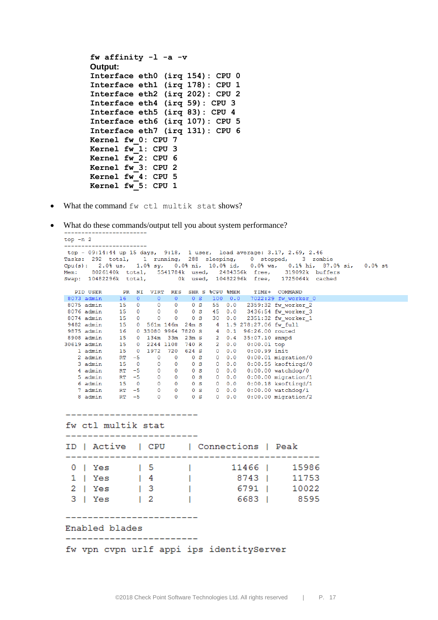```
fw affinity -l -a -v 
Output:
Interface eth0 (irq 154): CPU 0
Interface eth1 (irq 178): CPU 1
Interface eth2 (irq 202): CPU 2
Interface eth4 (irq 59): CPU 3
Interface eth5 (irq 83): CPU 4
Interface eth6 (irq 107): CPU 5
Interface eth7 (irq 131): CPU 6
Kernel fw_0: CPU 7
Kernel fw_1: CPU 3
Kernel fw_2: CPU 6
Kernel fw_3: CPU 2
Kernel fw_4: CPU 5
Kernel fw_5: CPU 1
```
What the command fw ctl multik stat shows?

What do these commands/output tell you about system performance?

```
top - n 2
-------------------------
2.0% us, 1.0% sy, 0.0% mi, 10.0% ma, 0.0% wa, 0.1% mi, 07.0%<br>8026140k total, 5541784k used, 2484356k free, 319092k buffers<br>10482296k total, 0k used, 10482296k free, 1725064k cached
Mem:
                                                              319092k buffers
Swap: 10482296k total,
              PR NI VIRT RES SHR S %CPU %MEM TIME+ COMMAND
  PTD USER
            16 0 0 0 0 0 0 5 100 0.0 7022:29 fw_worker_0<br>
15 0 0 0 0 0 5 55 0.0 2359:32 fw_worker_2<br>
15 0 0 0 0 0 s 45 0.0 2359:32 fw_worker_2<br>
15 0 0 0 0 s 45 0.0 2351:32 fw_worker_3<br>
15 0 661m 146m 24m s 4 1.9 278:27.06 fw_full<br>
16
8073 admin 16 0 0 0 0 0 5 100 0.0 7022:29 fw_worker_0
 8075 admin
 8076 admin
 8074 admin
 9482 admin
9875 admin<br>8908 admin
30619 admin
   1 admin
   2 admin
   3 admin
    4 admin
   5 admin<br>6 admin
    7 admin
    8 admin
__________________________
fw ctl multik stat
________________________
ID | Active | CPU | Connections | Peak
11466 |
  0 | Yes
                   \sqrt{1} 5
                                   T
                                                                15986
  1 | Yes
                   \vert 4
                                 n To
                                               8743 |
                                                                11753
                \frac{1}{3}2 | Yes
                                \sim 100
                                                6791 |
                                                                10022
  3 | Yes
                                 \sim 10^{-1}\vert 2
                                                6683 |
                                                                8595
Enabled blades
__________________________
fw vpn cvpn urlf appi ips identityServer
```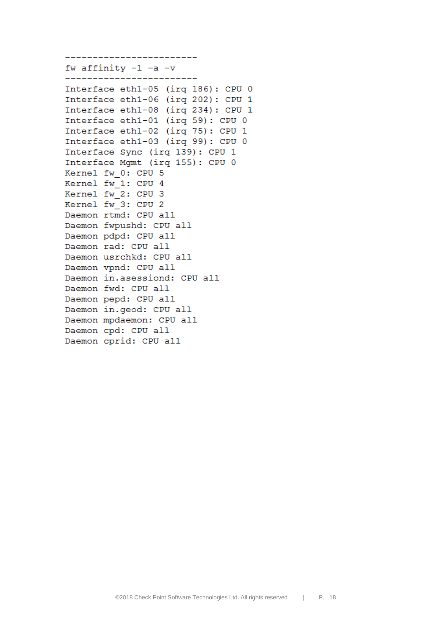fw affinity  $-1$   $-a$   $-v$ -------------------------Interface eth1-05 (irq 186): CPU 0 Interface eth1-06 (irq 202): CPU 1 Interface eth1-08 (irq 234): CPU 1 Interface eth1-01 (irq 59): CPU 0 Interface eth1-02 (irq 75): CPU 1 Interface eth1-03 (irq 99): CPU 0 Interface Sync (irq 139): CPU 1 Interface Mgmt (irq 155): CPU 0 Kernel fw 0: CPU 5 Kernel fw 1: CPU 4 Kernel fw\_2: CPU 3 Kernel fw 3: CPU 2 Daemon rtmd: CPU all Daemon fwpushd: CPU all Daemon pdpd: CPU all Daemon rad: CPU all Daemon usrchkd: CPU all Daemon vpnd: CPU all Daemon in.asessiond: CPU all Daemon fwd: CPU all Daemon pepd: CPU all Daemon in.geod: CPU all Daemon mpdaemon: CPU all Daemon cpd: CPU all

Daemon cprid: CPU all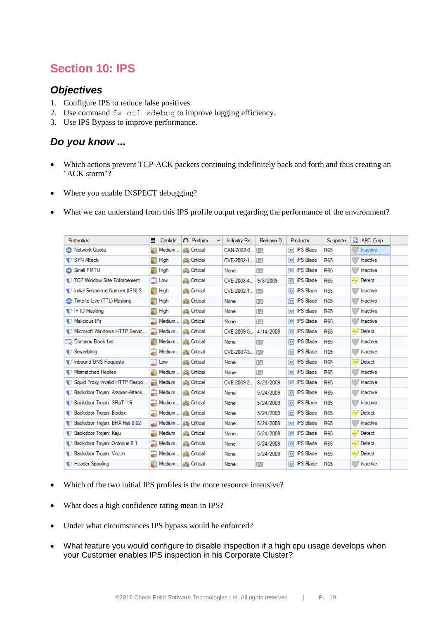# **Section 10: IPS**

#### *Objectives*

- 1. Configure IPS to reduce false positives.
- 2. Use command fw ctl zdebug to improve logging efficiency.
- 3. Use IPS Bypass to improve performance.

- Which actions prevent TCP-ACK packets continuing indefinitely back and forth and thus creating an "ACK storm"?
- Where you enable INSPECT debugging?
- What we can understand from this IPS profile output regarding the performance of the environment?

| Protection                         | ≣           | Confide $\bullet$ Perform $\bullet$ | Industry Re    | Release D | Products             | Supporte   | 圓<br>ABC Corp                |  |
|------------------------------------|-------------|-------------------------------------|----------------|-----------|----------------------|------------|------------------------------|--|
| <b>A.</b> Network Quota            | Medium<br>н | <b>Critical</b>                     | CAN-2002-0     | INA)      | <b>TO IPS Blade</b>  | <b>R65</b> | <b>Inactive</b>              |  |
| <b>J</b> SYN Attack                | High<br>÷   | <b>Critical</b>                     | CVE-2002-1     | <b>NA</b> | <b>IV</b> IPS Blade  | <b>R65</b> | Inactive                     |  |
| <b>Small PMTU</b>                  | High        | <b>Critical</b>                     | None           | <b>NA</b> | <b>IV</b> IPS Blade  | <b>R65</b> | Inactive                     |  |
| TCP Window Size Enforcement        | Low         | Critical                            | CVE-2008-4     | 9/8/2009  | <b>IV</b> IPS Blade  | <b>R65</b> | Detect<br>$\sim$             |  |
| Initial Sequence Number (ISN) S    | ≡<br>High   | <b>Critical</b>                     | CVE-2002-1 INC |           | <b>IVOLUPS</b> Blade | <b>R65</b> | Inactive                     |  |
| Time to Live (TTL) Masking         | High        | Critical                            | None           | <b>NA</b> | <b>IV</b> IPS Blade  | <b>R65</b> | Inactive                     |  |
| <b>T</b> IP ID Masking             | High        | <b>Critical</b>                     | None           | NA)       | <b>IV</b> IPS Blade  | <b>R65</b> | <b>Inactive</b>              |  |
| V Malicious IPs                    | Medium      | <b>Critical</b>                     | None           | <b>NA</b> | <b>IVO IPS Blade</b> | <b>R65</b> | Inactive                     |  |
| Microsoft Windows HTTP Servic      | Medium      | <b>Critical</b>                     | CVE-2009-0     | 4/14/2009 | <b>IVO</b> IPS Blade | <b>R65</b> | Detect<br>$\sim$             |  |
| Domains Block List                 | Medium      | <b>Critical</b>                     | None           | <b>NA</b> | <b>IV</b> IPS Blade  | <b>R65</b> | <b>Inactive</b>              |  |
| Scrambling                         | Medium      | <b>Critical</b>                     | CVE-2007-3     | <b>NA</b> | <b>TO IPS Blade</b>  | <b>R65</b> | <b>Inactive</b>              |  |
| DIV Inbound DNS Requests           | Low         | <b>Critical</b>                     | None           | <b>NA</b> | <b>IV</b> IPS Blade  | <b>R65</b> | $\sim$<br>Detect             |  |
| V Mismatched Replies               | Medium      | <b>Critical</b>                     | None           | <b>NA</b> | <b>IV</b> IPS Blade  | <b>R65</b> | Inactive                     |  |
| 17 Squid Proxy Invalid HTTP Respo  | Medium      | Critical                            | CVE-2009-2     | 8/23/2009 | <b>IV</b> IPS Blade  | <b>R65</b> | <b>Inactive</b>              |  |
| 17 Backdoor Troian: Arabian-Attack | Medium      | <b>Critical</b>                     | None           | 5/24/2009 | <b>IVOLUPS</b> Blade | <b>R65</b> | Inactive                     |  |
| 1.6 Backdoor Trojan: SRaT 1.6      | Medium      | <b>Critical</b>                     | None           | 5/24/2009 | <b>IV</b> IPS Blade  | <b>R65</b> | Inactive                     |  |
| 7 Backdoor Trojan: Biodox          | Medium      | <b>Critical</b>                     | None           | 5/24/2009 | <b>IV</b> IPS Blade  | <b>R65</b> | Detect<br>$\rightsquigarrow$ |  |
| 17 Backdoor Trojan: BRX Rat 0.02   | Medium      | <b>Critical</b>                     | None           | 5/24/2009 | <b>IVO IPS Blade</b> | <b>R65</b> | <b>Inactive</b>              |  |
| 17 Backdoor Trojan: Kaju           | Medium<br>œ | <b>Critical</b>                     | None           | 5/24/2009 | <b>IVO IPS Blade</b> | <b>R65</b> | Detect<br>$\sim$             |  |
| 17 Backdoor Trojan: Octopus 0.1    | Medium      | <b>Critical</b>                     | None           | 5/24/2009 | <b>IV</b> IPS Blade  | <b>R65</b> | <del>L</del> √ Detect        |  |
| 7 Backdoor Trojan: Virut.n         |             | Medium <b>A</b> Critical            | None           | 5/24/2009 | <b>IVO</b> IPS Blade | <b>R65</b> | $\sim$<br>Detect             |  |
| 7 Header Spoofing                  |             | Medium   Critical                   | None           | <b>NA</b> | <b>IVO IPS Blade</b> | <b>R65</b> | Inactive                     |  |

- Which of the two initial IPS profiles is the more resource intensive?
- What does a high confidence rating mean in IPS?
- Under what circumstances IPS bypass would be enforced?
- What feature you would configure to disable inspection if a high cpu usage develops when your Customer enables IPS inspection in his Corporate Cluster?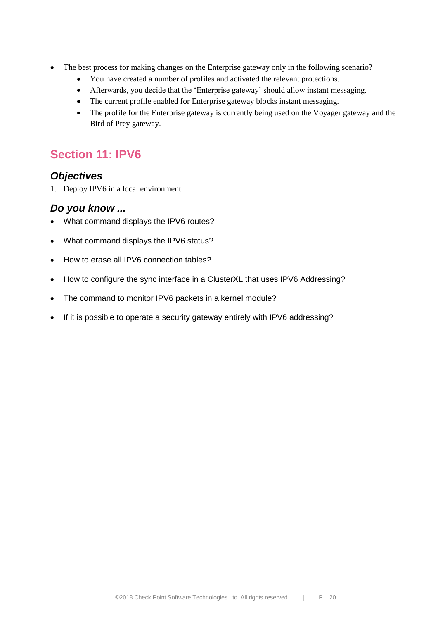- The best process for making changes on the Enterprise gateway only in the following scenario?
	- You have created a number of profiles and activated the relevant protections.
	- Afterwards, you decide that the 'Enterprise gateway' should allow instant messaging.
	- The current profile enabled for Enterprise gateway blocks instant messaging.
	- The profile for the Enterprise gateway is currently being used on the Voyager gateway and the Bird of Prey gateway.

### **Section 11: IPV6**

#### *Objectives*

1. Deploy IPV6 in a local environment

- What command displays the IPV6 routes?
- What command displays the IPV6 status?
- How to erase all IPV6 connection tables?
- How to configure the sync interface in a ClusterXL that uses IPV6 Addressing?
- The command to monitor IPV6 packets in a kernel module?
- If it is possible to operate a security gateway entirely with IPV6 addressing?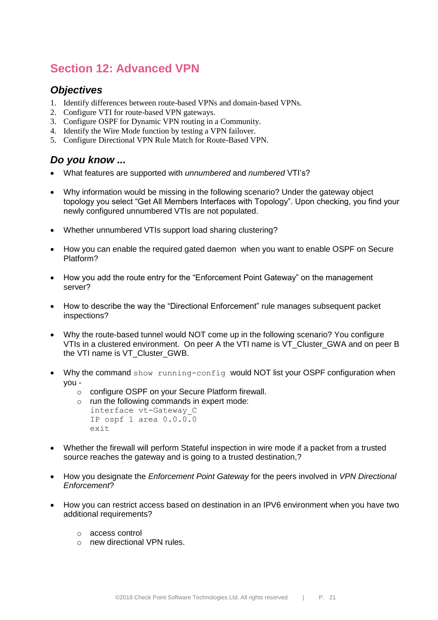# **Section 12: Advanced VPN**

#### *Objectives*

- 1. Identify differences between route-based VPNs and domain-based VPNs.
- 2. Configure VTI for route-based VPN gateways.
- 3. Configure OSPF for Dynamic VPN routing in a Community.
- 4. Identify the Wire Mode function by testing a VPN failover.
- 5. Configure Directional VPN Rule Match for Route-Based VPN.

- What features are supported with *unnumbered* and *numbered* VTI's?
- Why information would be missing in the following scenario? Under the gateway object topology you select "Get All Members Interfaces with Topology". Upon checking, you find your newly configured unnumbered VTIs are not populated.
- Whether unnumbered VTIs support load sharing clustering?
- How you can enable the required gated daemon when you want to enable OSPF on Secure Platform?
- How you add the route entry for the "Enforcement Point Gateway" on the management server?
- How to describe the way the "Directional Enforcement" rule manages subsequent packet inspections?
- Why the route-based tunnel would NOT come up in the following scenario? You configure VTIs in a clustered environment. On peer A the VTI name is VT Cluster GWA and on peer B the VTI name is VT\_Cluster\_GWB.
- Why the command show running-config would NOT list your OSPF configuration when you
	- o configure OSPF on your Secure Platform firewall.
	- o run the following commands in expert mode: interface vt-Gateway\_C IP ospf 1 area 0.0.0.0 exit
- Whether the firewall will perform Stateful inspection in wire mode if a packet from a trusted source reaches the gateway and is going to a trusted destination,?
- How you designate the *Enforcement Point Gateway* for the peers involved in *VPN Directional Enforcement*?
- How you can restrict access based on destination in an IPV6 environment when you have two additional requirements?
	- o access control
	- o new directional VPN rules.